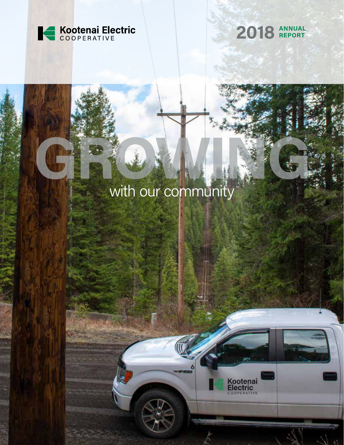



Kootenai<br>Electric

### with our community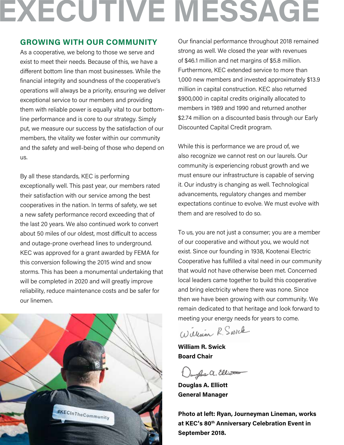## **EXECUTIVE MESSAGE**

#### **GROWING WITH OUR COMMUNITY**

As a cooperative, we belong to those we serve and exist to meet their needs. Because of this, we have a different bottom line than most businesses. While the financial integrity and soundness of the cooperative's operations will always be a priority, ensuring we deliver exceptional service to our members and providing them with reliable power is equally vital to our bottomline performance and is core to our strategy. Simply put, we measure our success by the satisfaction of our members, the vitality we foster within our community and the safety and well-being of those who depend on us.

By all these standards, KEC is performing exceptionally well. This past year, our members rated their satisfaction with our service among the best cooperatives in the nation. In terms of safety, we set a new safety performance record exceeding that of the last 20 years. We also continued work to convert about 50 miles of our oldest, most difficult to access and outage-prone overhead lines to underground. KEC was approved for a grant awarded by FEMA for this conversion following the 2015 wind and snow storms. This has been a monumental undertaking that will be completed in 2020 and will greatly improve reliability, reduce maintenance costs and be safer for our linemen.



Our financial performance throughout 2018 remained strong as well. We closed the year with revenues of \$46.1 million and net margins of \$5.8 million. Furthermore, KEC extended service to more than 1,000 new members and invested approximately \$13.9 million in capital construction. KEC also returned \$900,000 in capital credits originally allocated to members in 1989 and 1990 and returned another \$2.74 million on a discounted basis through our Early Discounted Capital Credit program.

While this is performance we are proud of, we also recognize we cannot rest on our laurels. Our community is experiencing robust growth and we must ensure our infrastructure is capable of serving it. Our industry is changing as well. Technological advancements, regulatory changes and member expectations continue to evolve. We must evolve with them and are resolved to do so.

To us, you are not just a consumer; you are a member of our cooperative and without you, we would not exist. Since our founding in 1938, Kootenai Electric Cooperative has fulfilled a vital need in our community that would not have otherwise been met. Concerned local leaders came together to build this cooperative and bring electricity where there was none. Since then we have been growing with our community. We remain dedicated to that heritage and look forward to meeting your energy needs for years to come.

William R. Swick

**William R. Swick Board Chair**

Janyles a. Elliott

**Douglas A. Elliott General Manager** 

**Photo at left: Ryan, Journeyman Lineman, works at KEC's 80th Anniversary Celebration Event in September 2018.**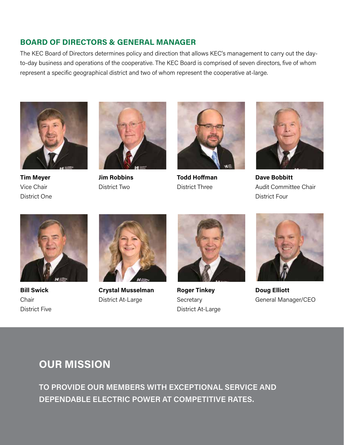### **BOARD OF DIRECTORS & GENERAL MANAGER**

The KEC Board of Directors determines policy and direction that allows KEC's management to carry out the dayto-day business and operations of the cooperative. The KEC Board is comprised of seven directors, five of whom represent a specific geographical district and two of whom represent the cooperative at-large.



**Tim Meyer** Vice Chair District One



**Jim Robbins** District Two



**Todd Hoffman** District Three



**Dave Bobbitt** Audit Committee Chair District Four



**Bill Swick Chair** District Five



**Crystal Musselman** District At-Large



**Roger Tinkey Secretary** District At-Large



**Doug Elliott** General Manager/CEO

### **OUR MISSION**

**TO PROVIDE OUR MEMBERS WITH EXCEPTIONAL SERVICE AND DEPENDABLE ELECTRIC POWER AT COMPETITIVE RATES.**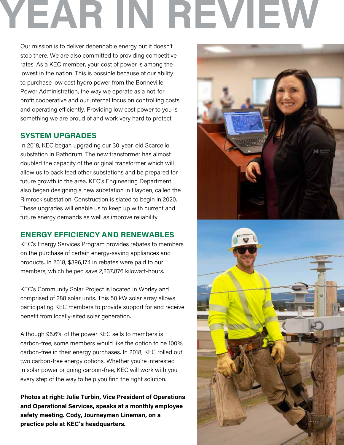# **YEAR IN REVIEW**

Our mission is to deliver dependable energy but it doesn't stop there. We are also committed to providing competitive rates. As a KEC member, your cost of power is among the lowest in the nation. This is possible because of our ability to purchase low cost hydro power from the Bonneville Power Administration, the way we operate as a not-forprofit cooperative and our internal focus on controlling costs and operating efficiently. Providing low cost power to you is something we are proud of and work very hard to protect.

### **SYSTEM UPGRADES**

In 2018, KEC began upgrading our 30-year-old Scarcello substation in Rathdrum. The new transformer has almost doubled the capacity of the original transformer which will allow us to back feed other substations and be prepared for future growth in the area. KEC's Engineering Department also began designing a new substation in Hayden, called the Rimrock substation. Construction is slated to begin in 2020. These upgrades will enable us to keep up with current and future energy demands as well as improve reliability.

### **ENERGY EFFICIENCY AND RENEWABLES**

KEC's Energy Services Program provides rebates to members on the purchase of certain energy-saving appliances and products. In 2018, \$396,174 in rebates were paid to our members, which helped save 2,237,876 kilowatt-hours.

KEC's Community Solar Project is located in Worley and comprised of 288 solar units. This 50 kW solar array allows participating KEC members to provide support for and receive benefit from locally-sited solar generation.

Although 96.6% of the power KEC sells to members is carbon-free, some members would like the option to be 100% carbon-free in their energy purchases. In 2018, KEC rolled out two carbon-free energy options. Whether you're interested in solar power or going carbon-free, KEC will work with you every step of the way to help you find the right solution.

**Photos at right: Julie Turbin, Vice President of Operations and Operational Services, speaks at a monthly employee safety meeting. Cody, Journeyman Lineman, on a practice pole at KEC's headquarters.** 



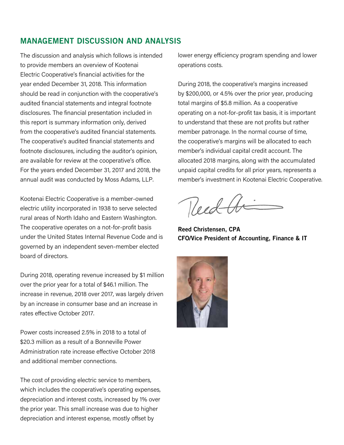### MANAGEMENT DISCUSSION AND ANALYSIS

The discussion and analysis which follows is intended to provide members an overview of Kootenai Electric Cooperative's financial activities for the year ended December 31, 2018. This information should be read in conjunction with the cooperative's audited financial statements and integral footnote disclosures. The financial presentation included in this report is summary information only, derived from the cooperative's audited financial statements. The cooperative's audited financial statements and footnote disclosures, including the auditor's opinion, are available for review at the cooperative's office. For the years ended December 31, 2017 and 2018, the annual audit was conducted by Moss Adams, LLP.

Kootenai Electric Cooperative is a member-owned electric utility incorporated in 1938 to serve selected rural areas of North Idaho and Eastern Washington. The cooperative operates on a not-for-profit basis under the United States Internal Revenue Code and is governed by an independent seven-member elected board of directors.

During 2018, operating revenue increased by \$1 million over the prior year for a total of \$46.1 million. The increase in revenue, 2018 over 2017, was largely driven by an increase in consumer base and an increase in rates effective October 2017.

Power costs increased 2.5% in 2018 to a total of \$20.3 million as a result of a Bonneville Power Administration rate increase effective October 2018 and additional member connections.

The cost of providing electric service to members, which includes the cooperative's operating expenses, depreciation and interest costs, increased by 1% over the prior year. This small increase was due to higher depreciation and interest expense, mostly offset by

lower energy efficiency program spending and lower operations costs.

During 2018, the cooperative's margins increased by \$200,000, or 4.5% over the prior year, producing total margins of \$5.8 million. As a cooperative operating on a not-for-profit tax basis, it is important to understand that these are not profits but rather member patronage. In the normal course of time, the cooperative's margins will be allocated to each member's individual capital credit account. The allocated 2018 margins, along with the accumulated unpaid capital credits for all prior years, represents a member's investment in Kootenai Electric Cooperative.

Reed Ar

Reed Christensen, CPA CFO/Vice President of Accounting, Finance & IT

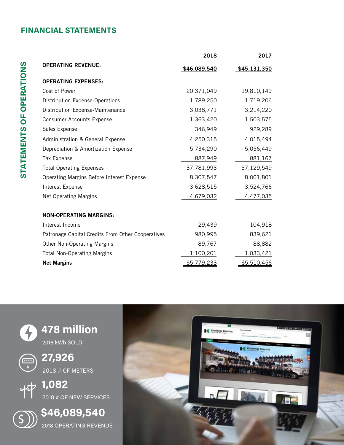### **FINANCIAL STATEMENTS**

|                                                   | 2018               | 2017         |
|---------------------------------------------------|--------------------|--------------|
| <b>OPERATING REVENUE:</b>                         | \$46,089,540       | \$45,131,350 |
| <b>OPERATING EXPENSES:</b>                        |                    |              |
| Cost of Power                                     | 20,371,049         | 19,810,149   |
| Distribution Expense-Operations                   | 1,789,250          | 1,719,206    |
| Distribution Expense-Maintenance                  | 3,038,771          | 3,214,220    |
| <b>Consumer Accounts Expense</b>                  | 1,363,420          | 1,503,575    |
| Sales Expense                                     | 346,949            | 929,289      |
| Administration & General Expense                  | 4,250,315          | 4,015,494    |
| Depreciation & Amortization Expense               | 5,734,290          | 5,056,449    |
| <b>Tax Expense</b>                                | 887,949            | 881,167      |
| <b>Total Operating Expenses</b>                   | 37,781,993         | 37,129,549   |
| Operating Margins Before Interest Expense         | 8,307,547          | 8,001,801    |
| Interest Expense                                  | 3,628,515          | 3,524,766    |
| <b>Net Operating Margins</b>                      | 4,679,032          | 4,477,035    |
|                                                   |                    |              |
| <b>NON-OPERATING MARGINS:</b>                     |                    |              |
| Interest Income                                   | 29,439             | 104,918      |
| Patronage Capital Credits From Other Cooperatives | 980,995            | 839,621      |
| Other Non-Operating Margins                       | 89,767             | 88,882       |
| <b>Total Non-Operating Margins</b>                | 1,100,201          | 1,033,421    |
| <b>Net Margins</b>                                | <u>\$5,779,233</u> | \$5,510,456  |

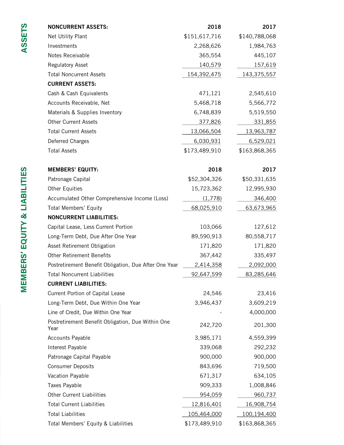| <b>NONCURRENT ASSETS:</b>                                 | 2018          | 2017              |
|-----------------------------------------------------------|---------------|-------------------|
| Net Utility Plant                                         | \$151,617,716 | \$140,788,068     |
| Investments                                               | 2,268,626     | 1,984,763         |
| Notes Receivable                                          | 365,554       | 445,107           |
| <b>Regulatory Asset</b>                                   | 140,579       | 157,619           |
| <b>Total Noncurrent Assets</b>                            | 154,392,475   | 143,375,557       |
| <b>CURRENT ASSETS:</b>                                    |               |                   |
| Cash & Cash Equivalents                                   | 471,121       | 2,545,610         |
| Accounts Receivable, Net                                  | 5,468,718     | 5,566,772         |
| Materials & Supplies Inventory                            | 6,748,839     | 5,519,550         |
| <b>Other Current Assets</b>                               | 377,826       | 331,855           |
| <b>Total Current Assets</b>                               | 13,066,504    | 13,963,787        |
| Deferred Charges                                          | 6,030,931     | 6,529,021         |
| <b>Total Assets</b>                                       | \$173,489,910 | \$163,868,365     |
| <b>MEMBERS' EQUITY:</b>                                   | 2018          | 2017              |
| Patronage Capital                                         | \$52,304,326  | \$50,331,635      |
| <b>Other Equities</b>                                     | 15,723,362    | 12,995,930        |
| Accumulated Other Comprehensive Income (Loss)             | (1,778)       | 346,400           |
| <b>Total Members' Equity</b>                              | 68,025,910    | 63,673,965        |
| <b>NONCURRENT LIABILITIES:</b>                            |               |                   |
| Capital Lease, Less Current Portion                       | 103,066       | 127,612           |
| Long-Term Debt, Due After One Year                        | 89,590,913    | 80,558,717        |
| Asset Retirement Obligation                               | 171,820       | 171,820           |
| <b>Other Retirement Benefits</b>                          | 367,442       | 335,497           |
| Postretirement Benefit Obligation, Due After One Year     | 2,414,358     | 2,092,000         |
| <b>Total Noncurrent Liabilities</b>                       | 92,647,599    | 83,285,646        |
| <b>CURRENT LIABILITIES:</b>                               |               |                   |
| Current Portion of Capital Lease                          | 24,546        | 23,416            |
| Long-Term Debt, Due Within One Year                       | 3,946,437     | 3,609,219         |
| Line of Credit, Due Within One Year                       |               | 4,000,000         |
| Postretirement Benefit Obligation, Due Within One<br>Year | 242,720       | 201,300           |
| <b>Accounts Payable</b>                                   | 3,985,171     | 4,559,399         |
| Interest Payable                                          | 339,068       | 292,232           |
| Patronage Capital Payable                                 | 900,000       | 900,000           |
| <b>Consumer Deposits</b>                                  | 843,696       | 719,500           |
| Vacation Payable                                          | 671,317       | 634,105           |
| <b>Taxes Payable</b>                                      | 909,333       | 1,008,846         |
| <b>Other Current Liabilities</b>                          | 954,059       | 960,737           |
| <b>Total Current Liabilities</b>                          | 12,816,401    | <u>16,908,754</u> |
| <b>Total Liabilities</b>                                  | 105,464,000   | 100,194,400       |
| Total Members' Equity & Liabilities                       | \$173,489,910 | \$163,868,365     |